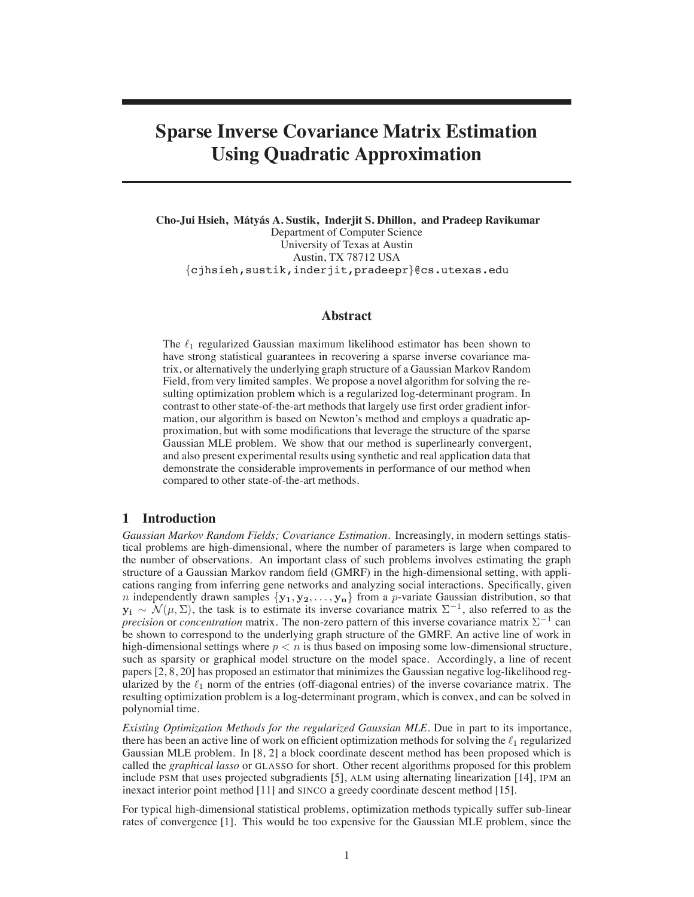# **Sparse Inverse Covariance Matrix Estimation Using Quadratic Approximation**

**Cho-Jui Hsieh, Maty ´ as A. Sustik, Inderjit S. Dhillon, and Pradeep Ravikumar ´** Department of Computer Science University of Texas at Austin Austin, TX 78712 USA {cjhsieh,sustik,inderjit,pradeepr}@cs.utexas.edu

# **Abstract**

The  $\ell_1$  regularized Gaussian maximum likelihood estimator has been shown to have strong statistical guarantees in recovering a sparse inverse covariance matrix, or alternatively the underlying graph structure of a Gaussian Markov Random Field, from very limited samples. We propose a novel algorithm for solving the resulting optimization problem which is a regularized log-determinant program. In contrast to other state-of-the-art methods that largely use first order gradient information, our algorithm is based on Newton's method and employs a quadratic approximation, but with some modifications that leverage the structure of the sparse Gaussian MLE problem. We show that our method is superlinearly convergent, and also present experimental results using synthetic and real application data that demonstrate the considerable improvements in performance of our method when compared to other state-of-the-art methods.

# **1 Introduction**

*Gaussian Markov Random Fields; Covariance Estimation.* Increasingly, in modern settings statistical problems are high-dimensional, where the number of parameters is large when compared to the number of observations. An important class of such problems involves estimating the graph structure of a Gaussian Markov random field (GMRF) in the high-dimensional setting, with applications ranging from inferring gene networks and analyzing social interactions. Specifically, given n independently drawn samples  $\{y_1, y_2, \ldots, y_n\}$  from a p-variate Gaussian distribution, so that  $y_i \sim \mathcal{N}(\mu, \Sigma)$ , the task is to estimate its inverse covariance matrix  $\Sigma^{-1}$ , also referred to as the *precision* or *concentration* matrix. The non-zero pattern of this inverse covariance matrix Σ<sup>−1</sup> can be shown to correspond to the underlying graph structure of the GMRF. An active line of work in high-dimensional settings where  $p < n$  is thus based on imposing some low-dimensional structure, such as sparsity or graphical model structure on the model space. Accordingly, a line of recent papers [2, 8, 20] has proposed an estimator that minimizes the Gaussian negative log-likelihood regularized by the  $\ell_1$  norm of the entries (off-diagonal entries) of the inverse covariance matrix. The resulting optimization problem is a log-determinant program, which is convex, and can be solved in polynomial time.

*Existing Optimization Methods for the regularized Gaussian MLE.* Due in part to its importance, there has been an active line of work on efficient optimization methods for solving the  $\ell_1$  regularized Gaussian MLE problem. In [8, 2] a block coordinate descent method has been proposed which is called the *graphical lasso* or GLASSO for short. Other recent algorithms proposed for this problem include PSM that uses projected subgradients [5], ALM using alternating linearization [14], IPM an inexact interior point method [11] and SINCO a greedy coordinate descent method [15].

For typical high-dimensional statistical problems, optimization methods typically suffer sub-linear rates of convergence [1]. This would be too expensive for the Gaussian MLE problem, since the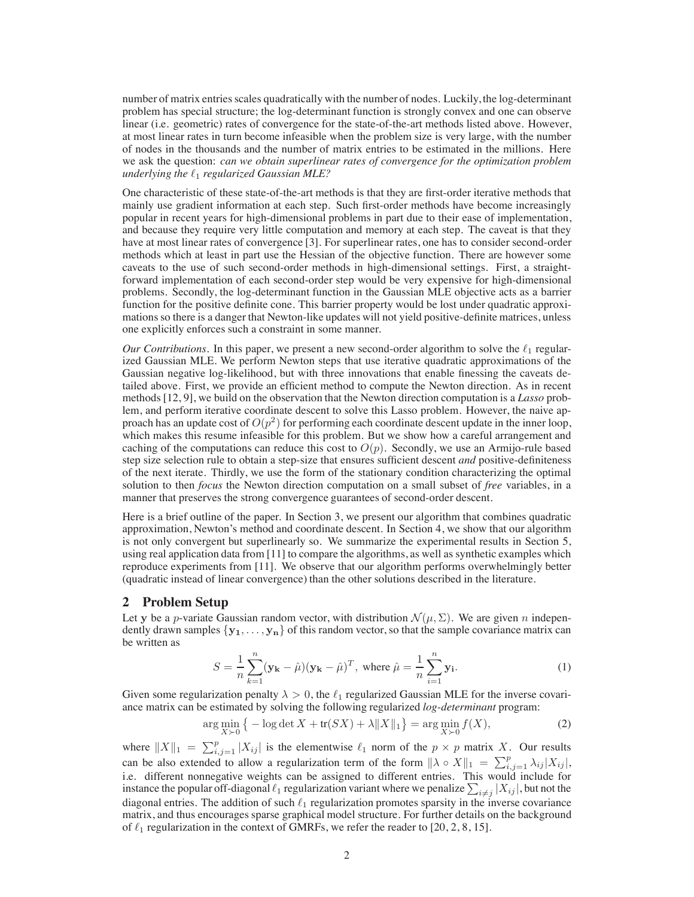number of matrix entries scales quadratically with the number of nodes. Luckily, the log-determinant problem has special structure; the log-determinant function is strongly convex and one can observe linear (i.e. geometric) rates of convergence for the state-of-the-art methods listed above. However, at most linear rates in turn become infeasible when the problem size is very large, with the number of nodes in the thousands and the number of matrix entries to be estimated in the millions. Here we ask the question: *can we obtain superlinear rates of convergence for the optimization problem underlying the* !1 *regularized Gaussian MLE?*

One characteristic of these state-of-the-art methods is that they are first-order iterative methods that mainly use gradient information at each step. Such first-order methods have become increasingly popular in recent years for high-dimensional problems in part due to their ease of implementation, and because they require very little computation and memory at each step. The caveat is that they have at most linear rates of convergence [3]. For superlinear rates, one has to consider second-order methods which at least in part use the Hessian of the objective function. There are however some caveats to the use of such second-order methods in high-dimensional settings. First, a straightforward implementation of each second-order step would be very expensive for high-dimensional problems. Secondly, the log-determinant function in the Gaussian MLE objective acts as a barrier function for the positive definite cone. This barrier property would be lost under quadratic approximations so there is a danger that Newton-like updates will not yield positive-definite matrices, unless one explicitly enforces such a constraint in some manner.

*Our Contributions.* In this paper, we present a new second-order algorithm to solve the  $\ell_1$  regularized Gaussian MLE. We perform Newton steps that use iterative quadratic approximations of the Gaussian negative log-likelihood, but with three innovations that enable finessing the caveats detailed above. First, we provide an efficient method to compute the Newton direction. As in recent methods [12, 9], we build on the observation that the Newton direction computation is a *Lasso* problem, and perform iterative coordinate descent to solve this Lasso problem. However, the naive approach has an update cost of  $O(p^2)$  for performing each coordinate descent update in the inner loop, which makes this resume infeasible for this problem. But we show how a careful arrangement and caching of the computations can reduce this cost to  $O(p)$ . Secondly, we use an Armijo-rule based step size selection rule to obtain a step-size that ensures sufficient descent *and* positive-definiteness of the next iterate. Thirdly, we use the form of the stationary condition characterizing the optimal solution to then *focus* the Newton direction computation on a small subset of *free* variables, in a manner that preserves the strong convergence guarantees of second-order descent.

Here is a brief outline of the paper. In Section 3, we present our algorithm that combines quadratic approximation, Newton's method and coordinate descent. In Section 4, we show that our algorithm is not only convergent but superlinearly so. We summarize the experimental results in Section 5, using real application data from [11] to compare the algorithms, as well as synthetic examples which reproduce experiments from [11]. We observe that our algorithm performs overwhelmingly better (quadratic instead of linear convergence) than the other solutions described in the literature.

# **2 Problem Setup**

Let y be a p-variate Gaussian random vector, with distribution  $\mathcal{N}(\mu, \Sigma)$ . We are given n independently drawn samples  $\{y_1, \ldots, y_n\}$  of this random vector, so that the sample covariance matrix can be written as

$$
S = \frac{1}{n} \sum_{k=1}^{n} (\mathbf{y_k} - \hat{\mu})(\mathbf{y_k} - \hat{\mu})^T, \text{ where } \hat{\mu} = \frac{1}{n} \sum_{i=1}^{n} \mathbf{y_i}.
$$
 (1)

Given some regularization penalty  $\lambda > 0$ , the  $\ell_1$  regularized Gaussian MLE for the inverse covariance matrix can be estimated by solving the following regularized *log-determinant* program:

$$
\arg\min_{X \succ 0} \left\{ -\log \det X + \text{tr}(SX) + \lambda \|X\|_1 \right\} = \arg\min_{X \succ 0} f(X),\tag{2}
$$

where  $||X||_1 = \sum_{i,j=1}^p |X_{ij}|$  is the elementwise  $\ell_1$  norm of the  $p \times p$  matrix X. Our results can be also extended to allow a regularization term of the form  $\|\lambda \circ X\|_1 = \sum_{i,j=1}^p \lambda_{ij} |X_{ij}|$ , i.e. different nonnegative weights can be assigned to different entries. This would include for instance the popular off-diagonal  $\ell_1$  regularization variant where we penalize  $\sum_{i\neq j}|X_{ij}|,$  but not the diagonal entries. The addition of such  $\ell_1$  regularization promotes sparsity in the inverse covariance matrix, and thus encourages sparse graphical model structure. For further details on the background of  $\ell_1$  regularization in the context of GMRFs, we refer the reader to [20, 2, 8, 15].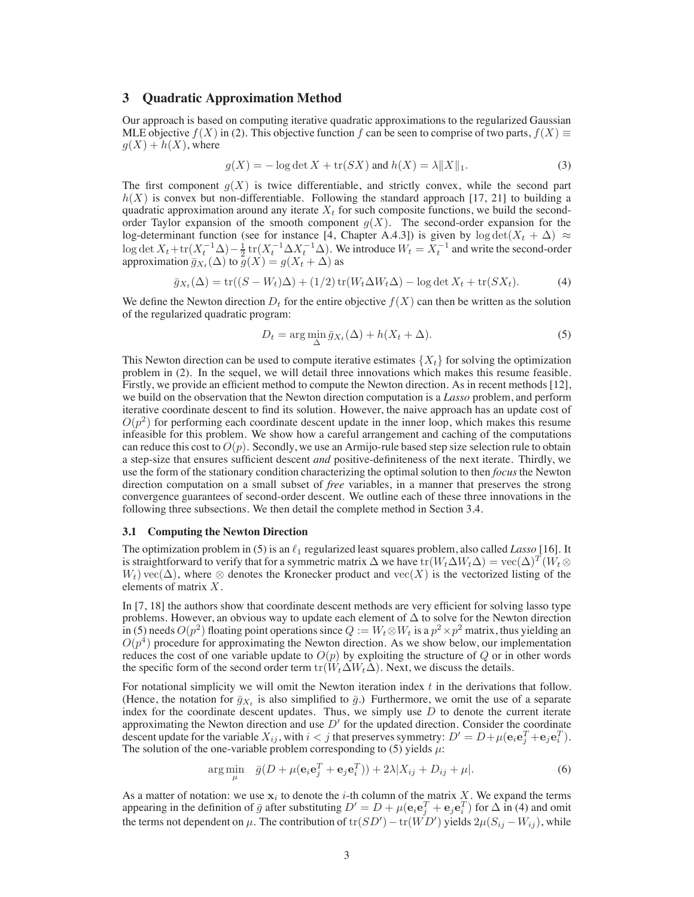# **3 Quadratic Approximation Method**

Our approach is based on computing iterative quadratic approximations to the regularized Gaussian MLE objective  $f(X)$  in (2). This objective function f can be seen to comprise of two parts,  $f(X) \equiv$  $q(X) + h(X)$ , where

$$
g(X) = -\log \det X + \text{tr}(SX) \text{ and } h(X) = \lambda ||X||_1.
$$
 (3)

The first component  $g(X)$  is twice differentiable, and strictly convex, while the second part  $h(X)$  is convex but non-differentiable. Following the standard approach [17, 21] to building a quadratic approximation around any iterate  $X_t$  for such composite functions, we build the secondorder Taylor expansion of the smooth component  $g(X)$ . The second-order expansion for the log-determinant function (see for instance [4, Chapter A.4.3]) is given by log det $(X_t + \Delta) \approx$ log det  $X_t + \text{tr}(X_t^{-1} \Delta) - \frac{1}{2} \text{tr}(X_t^{-1} \Delta X_t^{-1} \Delta)$ . We introduce  $W_t = X_t^{-1}$  and write the second-order approximation  $\bar{g}_{X_t}(\Delta)$  to  $g(X) = g(X_t + \Delta)$  as

$$
\bar{g}_{X_t}(\Delta) = \text{tr}((S - W_t)\Delta) + (1/2)\,\text{tr}(W_t\Delta W_t\Delta) - \log \det X_t + \text{tr}(SX_t). \tag{4}
$$

We define the Newton direction  $D_t$  for the entire objective  $f(X)$  can then be written as the solution of the regularized quadratic program:

$$
D_t = \arg\min_{\Delta} \bar{g}_{X_t}(\Delta) + h(X_t + \Delta). \tag{5}
$$

This Newton direction can be used to compute iterative estimates  $\{X_t\}$  for solving the optimization problem in (2). In the sequel, we will detail three innovations which makes this resume feasible. Firstly, we provide an efficient method to compute the Newton direction. As in recent methods [12], we build on the observation that the Newton direction computation is a *Lasso* problem, and perform iterative coordinate descent to find its solution. However, the naive approach has an update cost of  $O(p^2)$  for performing each coordinate descent update in the inner loop, which makes this resume infeasible for this problem. We show how a careful arrangement and caching of the computations can reduce this cost to  $O(p)$ . Secondly, we use an Armijo-rule based step size selection rule to obtain a step-size that ensures sufficient descent *and* positive-definiteness of the next iterate. Thirdly, we use the form of the stationary condition characterizing the optimal solution to then *focus* the Newton direction computation on a small subset of *free* variables, in a manner that preserves the strong convergence guarantees of second-order descent. We outline each of these three innovations in the following three subsections. We then detail the complete method in Section 3.4.

#### **3.1 Computing the Newton Direction**

The optimization problem in (5) is an  $\ell_1$  regularized least squares problem, also called *Lasso* [16]. It is straightforward to verify that for a symmetric matrix  $\Delta$  we have tr $(W_t\Delta W_t\Delta) = \text{vec}(\Delta)^T (W_t\otimes$  $W_t$ ) vec( $\Delta$ ), where ⊗ denotes the Kronecker product and vec(X) is the vectorized listing of the elements of matrix X.

In [7, 18] the authors show that coordinate descent methods are very efficient for solving lasso type problems. However, an obvious way to update each element of  $\Delta$  to solve for the Newton direction in (5) needs  $O(p^2)$  floating point operations since  $Q := W_t \otimes W_t$  is a  $p^2 \times p^2$  matrix, thus yielding an  $O(p<sup>4</sup>)$  procedure for approximating the Newton direction. As we show below, our implementation reduces the cost of one variable update to  $O(p)$  by exploiting the structure of Q or in other words the specific form of the second order term tr( $W_t\Delta W_t\Delta$ ). Next, we discuss the details.

For notational simplicity we will omit the Newton iteration index  $t$  in the derivations that follow. (Hence, the notation for  $\bar{g}_{X_t}$  is also simplified to  $\bar{g}$ .) Furthermore, we omit the use of a separate index for the coordinate descent updates. Thus, we simply use  $D$  to denote the current iterate approximating the Newton direction and use  $D'$  for the updated direction. Consider the coordinate descent update for the variable  $X_{ij}$ , with  $i < j$  that preserves symmetry:  $D' = D + \mu(e_i e_j^T + e_j e_i^T)$ . The solution of the one-variable problem corresponding to (5) yields  $\mu$ :

$$
\arg\min_{\mu} \quad \bar{g}(D + \mu(\mathbf{e}_i \mathbf{e}_j^T + \mathbf{e}_j \mathbf{e}_i^T)) + 2\lambda |X_{ij} + D_{ij} + \mu|.
$$
\n(6)

As a matter of notation: we use  $x_i$  to denote the *i*-th column of the matrix X. We expand the terms appearing in the definition of  $\bar{g}$  after substituting  $D' = D + \mu(e_i e_j^T + e_j e_i^T)$  for  $\Delta$  in (4) and omit the terms not dependent on  $\mu$ . The contribution of  ${\rm tr}(SD')-{\rm tr}(WD')$  yields  $2\mu(S_{ij}-W_{ij})$ , while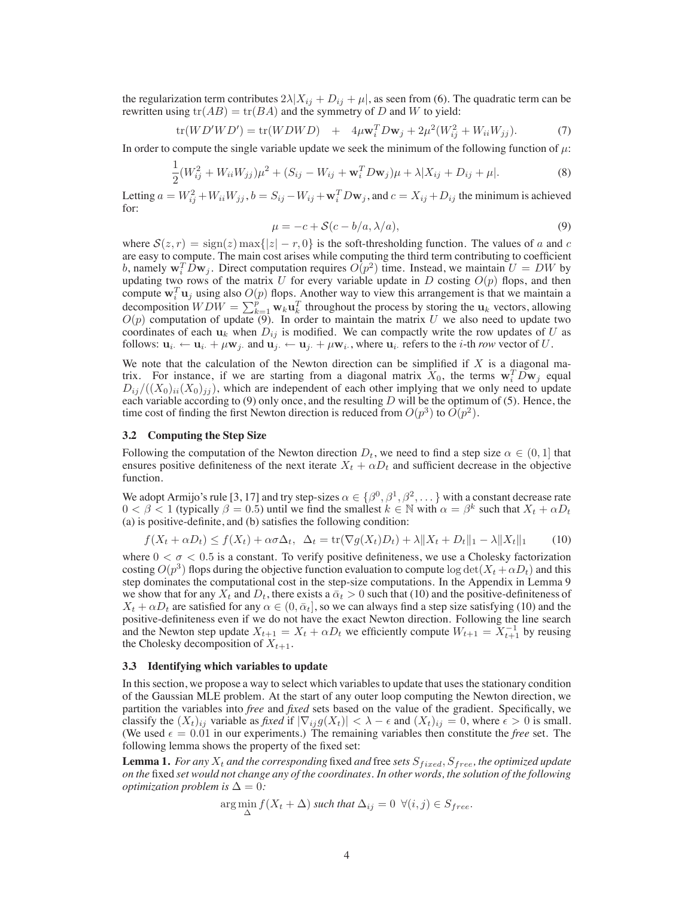the regularization term contributes  $2\lambda |X_{ij} + D_{ij} + \mu|$ , as seen from (6). The quadratic term can be rewritten using  $tr(AB) = tr(BA)$  and the symmetry of D and W to yield:

$$
\text{tr}(WD'WD') = \text{tr}(WDWD) + 4\mu\mathbf{w}_i^T D\mathbf{w}_j + 2\mu^2 (W_{ij}^2 + W_{ii}W_{jj}).
$$
 (7)

In order to compute the single variable update we seek the minimum of the following function of  $\mu$ :

$$
\frac{1}{2}(W_{ij}^2 + W_{ii}W_{jj})\mu^2 + (S_{ij} - W_{ij} + \mathbf{w}_i^T D\mathbf{w}_j)\mu + \lambda |X_{ij} + D_{ij} + \mu|.
$$
 (8)

Letting  $a = W_{ij}^2 + W_{ii}W_{jj}$ ,  $b = S_{ij} - W_{ij} + \mathbf{w}_i^T D \mathbf{w}_j$ , and  $c = X_{ij} + D_{ij}$  the minimum is achieved for:

$$
\mu = -c + \mathcal{S}(c - b/a, \lambda/a),\tag{9}
$$

where  $S(z, r) = \text{sign}(z) \max\{|z| - r, 0\}$  is the soft-thresholding function. The values of a and c are easy to compute. The main cost arises while computing the third term contributing to coefficient b, namely  $\mathbf{w}_i^T \vec{D} \mathbf{w}_j$ . Direct computation requires  $O(p^2)$  time. Instead, we maintain  $U = D W$  by updating two rows of the matrix U for every variable update in D costing  $O(p)$  flops, and then compute  $w_i^T u_j$  using also  $O(p)$  flops. Another way to view this arrangement is that we maintain a decomposition  $WDW = \sum_{k=1}^{p} \mathbf{w}_k \mathbf{u}_k^T$  throughout the process by storing the  $\mathbf{u}_k$  vectors, allowing  $O(p)$  computation of update (9). In order to maintain the matrix U we also need to update two coordinates of each  $u_k$  when  $D_{ij}$  is modified. We can compactly write the row updates of U as follows:  $\mathbf{u}_i \leftarrow \mathbf{u}_i + \mu \mathbf{w}_j$  and  $\mathbf{u}_j \leftarrow \mathbf{u}_j + \mu \mathbf{w}_i$ , where  $\mathbf{u}_i$  refers to the *i*-th *row* vector of U.

We note that the calculation of the Newton direction can be simplified if  $X$  is a diagonal matrix. For instance, if we are starting from a diagonal matrix  $X_0$ , the terms  $w_i^T D w_j$  equal  $D_{ij}/((X_0)_{ii}(X_0)_{jj})$ , which are independent of each other implying that we only need to update each variable according to  $(9)$  only once, and the resulting D will be the optimum of  $(5)$ . Hence, the time cost of finding the first Newton direction is reduced from  $O(p^3)$  to  $O(p^2)$ .

### **3.2 Computing the Step Size**

Following the computation of the Newton direction  $D_t$ , we need to find a step size  $\alpha \in (0,1]$  that ensures positive definiteness of the next iterate  $X_t + \alpha D_t$  and sufficient decrease in the objective function.

We adopt Armijo's rule [3, 17] and try step-sizes  $\alpha \in \{\beta^0, \beta^1, \beta^2, ...\}$  with a constant decrease rate  $0 < \beta < 1$  (typically  $\beta = 0.5$ ) until we find the smallest  $k \in \mathbb{N}$  with  $\alpha = \beta^k$  such that  $X_t + \alpha D_t$ (a) is positive-definite, and (b) satisfies the following condition:

$$
f(X_t + \alpha D_t) \le f(X_t) + \alpha \sigma \Delta_t, \quad \Delta_t = \text{tr}(\nabla g(X_t) D_t) + \lambda \|X_t + D_t\|_1 - \lambda \|X_t\|_1 \tag{10}
$$

where  $0 < \sigma < 0.5$  is a constant. To verify positive definiteness, we use a Cholesky factorization costing  $O(p^3)$  flops during the objective function evaluation to compute  $log \det(X_t + \alpha D_t)$  and this step dominates the computational cost in the step-size computations. In the Appendix in Lemma 9 we show that for any  $X_t$  and  $D_t$ , there exists a  $\bar{\alpha}_t > 0$  such that (10) and the positive-definiteness of  $X_t + \alpha D_t$  are satisfied for any  $\alpha \in (0, \bar{\alpha}_t]$ , so we can always find a step size satisfying (10) and the positive-definiteness even if we do not have the exact Newton direction. Following the line search and the Newton step update  $X_{t+1} = X_t + \alpha D_t$  we efficiently compute  $W_{t+1} = X_{t+1}^{-1}$  by reusing the Cholesky decomposition of  $X_{t+1}$ .

### **3.3 Identifying which variables to update**

In this section, we propose a way to select which variables to update that uses the stationary condition of the Gaussian MLE problem. At the start of any outer loop computing the Newton direction, we partition the variables into *free* and *fixed* sets based on the value of the gradient. Specifically, we classify the  $(X_t)_{ij}$  variable as *fixed* if  $|\nabla_{ij} g(X_t)| < \lambda - \epsilon$  and  $(X_t)_{ij} = 0$ , where  $\epsilon > 0$  is small. (We used  $\epsilon = 0.01$  in our experiments.) The remaining variables then constitute the *free* set. The following lemma shows the property of the fixed set:

**Lemma 1.** *For any*  $X_t$  *and the corresponding* fixed *and* free *sets*  $S_{fixed}$ ,  $S_{free}$ , *the optimized update on the* fixed *set would not change any of the coordinates. In other words, the solution of the following optimization problem is*  $\Delta = 0$ *:* 

$$
\arg\min_{\Delta} f(X_t + \Delta) \text{ such that } \Delta_{ij} = 0 \ \forall (i, j) \in S_{free}.
$$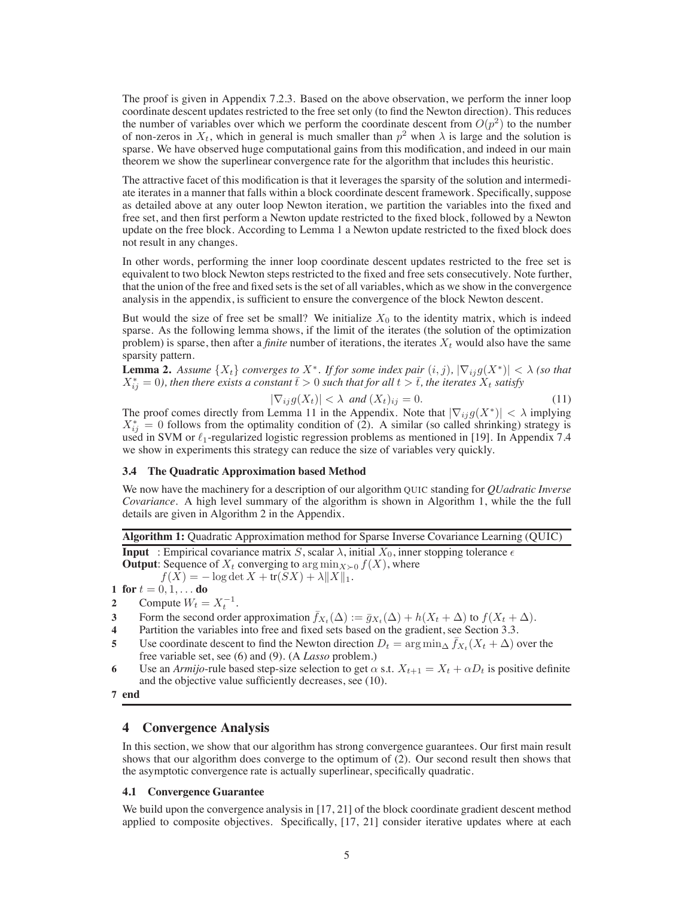The proof is given in Appendix 7.2.3. Based on the above observation, we perform the inner loop coordinate descent updates restricted to the free set only (to find the Newton direction). This reduces the number of variables over which we perform the coordinate descent from  $O(p^2)$  to the number of non-zeros in  $X_t$ , which in general is much smaller than  $p^2$  when  $\lambda$  is large and the solution is sparse. We have observed huge computational gains from this modification, and indeed in our main theorem we show the superlinear convergence rate for the algorithm that includes this heuristic.

The attractive facet of this modification is that it leverages the sparsity of the solution and intermediate iterates in a manner that falls within a block coordinate descent framework. Specifically, suppose as detailed above at any outer loop Newton iteration, we partition the variables into the fixed and free set, and then first perform a Newton update restricted to the fixed block, followed by a Newton update on the free block. According to Lemma 1 a Newton update restricted to the fixed block does not result in any changes.

In other words, performing the inner loop coordinate descent updates restricted to the free set is equivalent to two block Newton steps restricted to the fixed and free sets consecutively. Note further, that the union of the free and fixed sets is the set of all variables, which as we show in the convergence analysis in the appendix, is sufficient to ensure the convergence of the block Newton descent.

But would the size of free set be small? We initialize  $X_0$  to the identity matrix, which is indeed sparse. As the following lemma shows, if the limit of the iterates (the solution of the optimization problem) is sparse, then after a *finite* number of iterations, the iterates  $X_t$  would also have the same sparsity pattern.

**Lemma 2.** Assume  $\{X_t\}$  converges to  $X^*$ . If for some index pair  $(i, j)$ ,  $|\nabla_{ij} g(X^*)| < \lambda$  (so that  $X_{ij}^* = 0$ ), then there exists a constant  $\bar{t} > 0$  such that for all  $t > \bar{t}$ , the iterates  $X_t$  satisfy

$$
|\nabla_{ij} g(X_t)| < \lambda \ \text{and} \ (X_t)_{ij} = 0. \tag{11}
$$

The proof comes directly from Lemma 11 in the Appendix. Note that  $|\nabla_{ij} g(X^*)| < \lambda$  implying  $X_{ij}^* = 0$  follows from the optimality condition of (2). A similar (so called shrinking) strategy is used in SVM or  $\ell_1$ -regularized logistic regression problems as mentioned in [19]. In Appendix 7.4 we show in experiments this strategy can reduce the size of variables very quickly.

## **3.4 The Quadratic Approximation based Method**

We now have the machinery for a description of our algorithm QUIC standing for *QUadratic Inverse Covariance*. A high level summary of the algorithm is shown in Algorithm 1, while the the full details are given in Algorithm 2 in the Appendix.

**Algorithm 1:** Quadratic Approximation method for Sparse Inverse Covariance Learning (QUIC)

**Input** : Empirical covariance matrix S, scalar  $\lambda$ , initial  $X_0$ , inner stopping tolerance  $\epsilon$ **Output**: Sequence of  $X_t$  converging to  $\arg \min_{X \succ 0} f(X)$ , where

 $f(X) = -\log \det X + \text{tr}(SX) + \lambda ||X||_1.$ 

**1 for**  $t = 0, 1, ...$  **do** 

- **2** Compute  $W_t = X_t^{-1}$ .
- **3** Form the second order approximation  $\bar{f}_{X_t}(\Delta) := \bar{g}_{X_t}(\Delta) + h(X_t + \Delta)$  to  $f(X_t + \Delta)$ .
- **4** Partition the variables into free and fixed sets based on the gradient, see Section 3.3.
- **5** Use coordinate descent to find the Newton direction  $D_t = \arg \min_{\Delta} f_{X_t}(X_t + \Delta)$  over the free variable set, see (6) and (9). (A *Lasso* problem.)
- **6** Use an *Armijo*-rule based step-size selection to get  $\alpha$  s.t.  $X_{t+1} = X_t + \alpha D_t$  is positive definite and the objective value sufficiently decreases, see (10).

# **4 Convergence Analysis**

In this section, we show that our algorithm has strong convergence guarantees. Our first main result shows that our algorithm does converge to the optimum of (2). Our second result then shows that the asymptotic convergence rate is actually superlinear, specifically quadratic.

### **4.1 Convergence Guarantee**

We build upon the convergence analysis in [17, 21] of the block coordinate gradient descent method applied to composite objectives. Specifically, [17, 21] consider iterative updates where at each

**<sup>7</sup> end**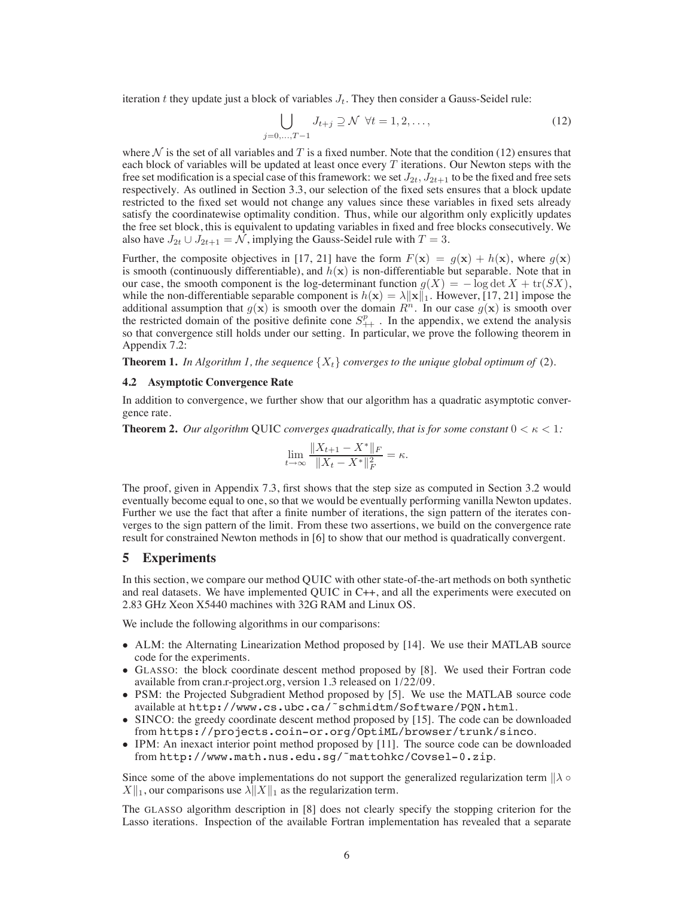iteration t they update just a block of variables  $J_t$ . They then consider a Gauss-Seidel rule:

$$
\bigcup_{j=0,\ldots,T-1} J_{t+j} \supseteq \mathcal{N} \ \forall t=1,2,\ldots,\tag{12}
$$

where  $N$  is the set of all variables and T is a fixed number. Note that the condition (12) ensures that each block of variables will be updated at least once every  $T$  iterations. Our Newton steps with the free set modification is a special case of this framework: we set  $J_{2t}$ ,  $J_{2t+1}$  to be the fixed and free sets respectively. As outlined in Section 3.3, our selection of the fixed sets ensures that a block update restricted to the fixed set would not change any values since these variables in fixed sets already satisfy the coordinatewise optimality condition. Thus, while our algorithm only explicitly updates the free set block, this is equivalent to updating variables in fixed and free blocks consecutively. We also have  $J_{2t} \cup J_{2t+1} = \mathcal{N}$ , implying the Gauss-Seidel rule with  $T = 3$ .

Further, the composite objectives in [17, 21] have the form  $F(\mathbf{x}) = g(\mathbf{x}) + h(\mathbf{x})$ , where  $g(\mathbf{x})$ is smooth (continuously differentiable), and  $h(x)$  is non-differentiable but separable. Note that in our case, the smooth component is the log-determinant function  $q(X) = -\log \det X + \text{tr}(SX)$ , while the non-differentiable separable component is  $h(\mathbf{x}) = \lambda ||\mathbf{x}||_1$ . However, [17, 21] impose the additional assumption that  $g(x)$  is smooth over the domain  $R<sup>n</sup>$ . In our case  $g(x)$  is smooth over the restricted domain of the positive definite cone  $S_{++}^p$ . In the appendix, we extend the analysis so that convergence still holds under our setting. In particular, we prove the following theorem in Appendix 7.2:

**Theorem 1.** In Algorithm 1, the sequence  $\{X_t\}$  converges to the unique global optimum of (2).

### **4.2 Asymptotic Convergence Rate**

In addition to convergence, we further show that our algorithm has a quadratic asymptotic convergence rate.

**Theorem 2.** Our algorithm QUIC *converges quadratically, that is for some constant*  $0 < \kappa < 1$ *:* 

$$
\lim_{t \to \infty} \frac{\|X_{t+1} - X^*\|_F}{\|X_t - X^*\|_F^2} = \kappa.
$$

The proof, given in Appendix 7.3, first shows that the step size as computed in Section 3.2 would eventually become equal to one, so that we would be eventually performing vanilla Newton updates. Further we use the fact that after a finite number of iterations, the sign pattern of the iterates converges to the sign pattern of the limit. From these two assertions, we build on the convergence rate result for constrained Newton methods in [6] to show that our method is quadratically convergent.

### **5 Experiments**

In this section, we compare our method QUIC with other state-of-the-art methods on both synthetic and real datasets. We have implemented QUIC in C++, and all the experiments were executed on 2.83 GHz Xeon X5440 machines with 32G RAM and Linux OS.

We include the following algorithms in our comparisons:

- ALM: the Alternating Linearization Method proposed by [14]. We use their MATLAB source code for the experiments.
- GLASSO: the block coordinate descent method proposed by [8]. We used their Fortran code available from cran.r-project.org, version 1.3 released on 1/22/09.
- PSM: the Projected Subgradient Method proposed by [5]. We use the MATLAB source code available at http://www.cs.ubc.ca/˜schmidtm/Software/PQN.html.
- SINCO: the greedy coordinate descent method proposed by [15]. The code can be downloaded from https://projects.coin-or.org/OptiML/browser/trunk/sinco.
- IPM: An inexact interior point method proposed by [11]. The source code can be downloaded from http://www.math.nus.edu.sg/˜mattohkc/Covsel-0.zip.

Since some of the above implementations do not support the generalized regularization term  $\|\lambda \circ$  $X \|_1$ , our comparisons use  $\lambda \| X \|_1$  as the regularization term.

The GLASSO algorithm description in [8] does not clearly specify the stopping criterion for the Lasso iterations. Inspection of the available Fortran implementation has revealed that a separate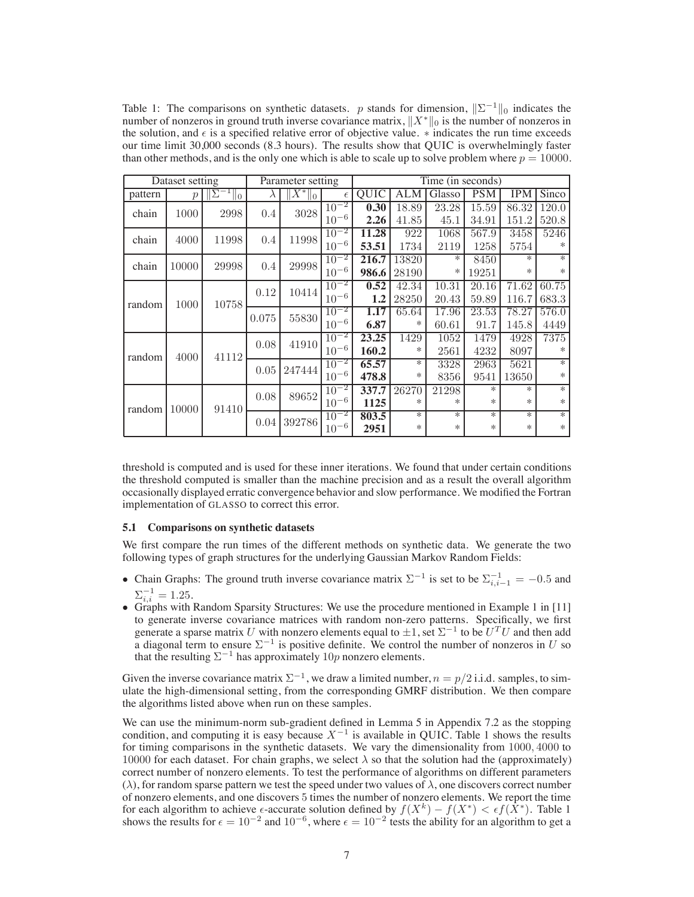Table 1: The comparisons on synthetic datasets. p stands for dimension,  $||\Sigma^{-1}||_0$  indicates the number of nonzeros in ground truth inverse covariance matrix,  $||X^*||_0$  is the number of nonzeros in the solution, and  $\epsilon$  is a specified relative error of objective value.  $*$  indicates the run time exceeds our time limit 30,000 seconds (8.3 hours). The results show that QUIC is overwhelmingly faster than other methods, and is the only one which is able to scale up to solve problem where  $p = 10000$ .

| Dataset setting |               |                             | Parameter setting |                      |            | Time (in seconds) |       |        |            |            |        |
|-----------------|---------------|-----------------------------|-------------------|----------------------|------------|-------------------|-------|--------|------------|------------|--------|
| pattern         | $\mathcal{p}$ | $\overline{\mathbb{T}}_0$ . | $\lambda$         | $\overline{X^*}\ _0$ | $\epsilon$ | QUIC              | ALM   | Glasso | <b>PSM</b> | <b>IPM</b> | Sinco  |
| chain           | 1000          | 2998                        | 0.4               | 3028                 | $10^{-2}$  | 0.30              | 18.89 | 23.28  | 15.59      | 86.32      | 120.0  |
|                 |               |                             |                   |                      | $10^{-6}$  | 2.26              | 41.85 | 45.1   | 34.91      | 151.2      | 520.8  |
| chain           | 4000          | 11998                       | 0.4               | 11998                | $10^{-2}$  | 11.28             | 922   | 1068   | 567.9      | 3458       | 5246   |
|                 |               |                             |                   |                      | $10^{-6}$  | 53.51             | 1734  | 2119   | 1258       | 5754       | ∗      |
| chain           | 10000         | 29998                       | 0.4               | 29998                | $10^{-2}$  | 216.7             | 13820 | *      | 8450       | $\ast$     | $\ast$ |
|                 |               |                             |                   |                      | $10^{-6}$  | 986.6             | 28190 | ∗      | 19251      | $*$        | ∗      |
| random          | 1000          | 10758                       | 0.12              | 10414                | $10^{-2}$  | 0.52              | 42.34 | 10.31  | 20.16      | 71.62      | 60.75  |
|                 |               |                             |                   |                      | $10^{-6}$  | 1.2               | 28250 | 20.43  | 59.89      | 116.7      | 683.3  |
|                 |               |                             | 0.075             | 55830                | $10^{-2}$  | 1.17              | 65.64 | 17.96  | 23.53      | 78.27      | 576.0  |
|                 |               |                             |                   |                      | $10^{-6}$  | 6.87              | *     | 60.61  | 91.7       | 145.8      | 4449   |
| random          | 4000          | 41112                       | 0.08              | 41910                | $10^{-2}$  | 23.25             | 1429  | 1052   | 1479       | 4928       | 7375   |
|                 |               |                             |                   |                      | $10^{-6}$  | 160.2             | ∗     | 2561   | 4232       | 8097       | *      |
|                 |               |                             | 0.05              | 247444               | $10^{-2}$  | 65.57             | *     | 3328   | 2963       | 5621       | $\ast$ |
|                 |               |                             |                   |                      | $10^{-6}$  | 478.8             | $*$   | 8356   | 9541       | 13650      | ∗      |
| random          | 10000         | 91410                       | 0.08              | 89652                | $10^{-2}$  | 337.7             | 26270 | 21298  | $*$        | $*$        | $\ast$ |
|                 |               |                             |                   |                      | $10^{-6}$  | 1125              | *     | *      | *          | $\ast$     | ∗      |
|                 |               |                             | 0.04              | 392786               | $10^{-2}$  | 803.5             | *     | $\ast$ | *          | *          | $\ast$ |
|                 |               |                             |                   |                      | $10^{-6}$  | 2951              | *     | ∗      | $\ast$     | $\ast$     | ∗      |

threshold is computed and is used for these inner iterations. We found that under certain conditions the threshold computed is smaller than the machine precision and as a result the overall algorithm occasionally displayed erratic convergence behavior and slow performance. We modified the Fortran implementation of GLASSO to correct this error.

### **5.1 Comparisons on synthetic datasets**

We first compare the run times of the different methods on synthetic data. We generate the two following types of graph structures for the underlying Gaussian Markov Random Fields:

- Chain Graphs: The ground truth inverse covariance matrix  $\Sigma^{-1}$  is set to be  $\Sigma_{i,i-1}^{-1} = -0.5$  and  $\Sigma_{i,i}^{-1} = 1.25.$
- Graphs with Random Sparsity Structures: We use the procedure mentioned in Example 1 in [11] to generate inverse covariance matrices with random non-zero patterns. Specifically, we first generate a sparse matrix U with nonzero elements equal to  $\pm 1$ , set  $\Sigma^{-1}$  to be  $U^{T}U$  and then add a diagonal term to ensure  $\Sigma^{-1}$  is positive definite. We control the number of nonzeros in U so that the resulting  $\Sigma^{-1}$  has approximately 10p nonzero elements.

Given the inverse covariance matrix  $\Sigma^{-1}$ , we draw a limited number,  $n = p/2$  i.i.d. samples, to simulate the high-dimensional setting, from the corresponding GMRF distribution. We then compare the algorithms listed above when run on these samples.

We can use the minimum-norm sub-gradient defined in Lemma 5 in Appendix 7.2 as the stopping condition, and computing it is easy because  $X^{-1}$  is available in QUIC. Table 1 shows the results for timing comparisons in the synthetic datasets. We vary the dimensionality from 1000, 4000 to 10000 for each dataset. For chain graphs, we select  $\lambda$  so that the solution had the (approximately) correct number of nonzero elements. To test the performance of algorithms on different parameters  $(\lambda)$ , for random sparse pattern we test the speed under two values of  $\lambda$ , one discovers correct number of nonzero elements, and one discovers 5 times the number of nonzero elements. We report the time for each algorithm to achieve  $\epsilon$ -accurate solution defined by  $f(X^k) - f(X^*) < \epsilon f(X^*)$ . Table 1 shows the results for  $\epsilon = 10^{-2}$  and  $10^{-6}$ , where  $\epsilon = 10^{-2}$  tests the ability for an algorithm to get a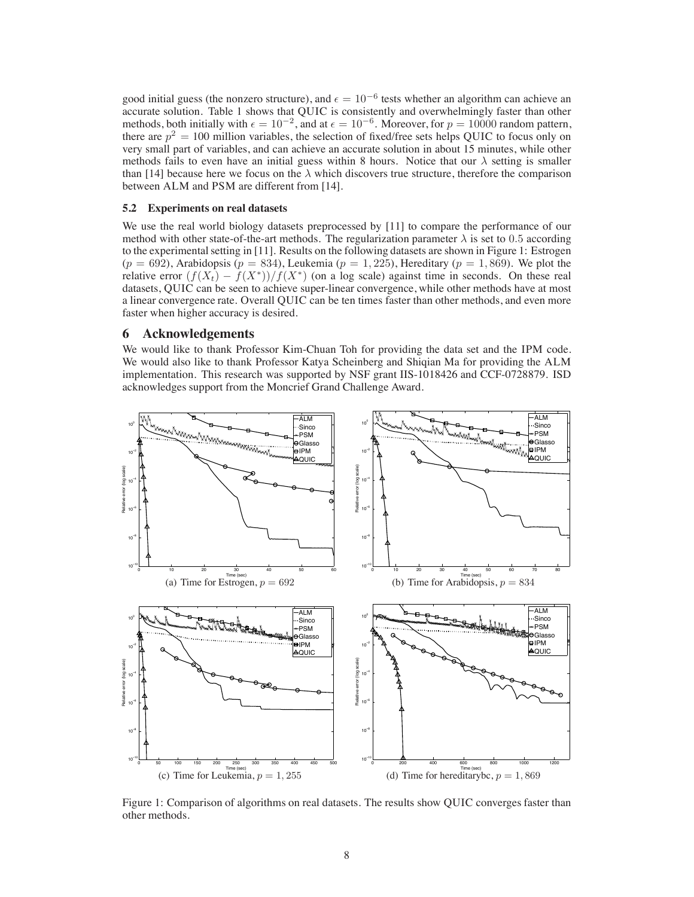good initial guess (the nonzero structure), and  $\epsilon = 10^{-6}$  tests whether an algorithm can achieve an accurate solution. Table 1 shows that QUIC is consistently and overwhelmingly faster than other methods, both initially with  $\epsilon = 10^{-2}$ , and at  $\epsilon = 10^{-6}$ . Moreover, for  $p = 10000$  random pattern, there are  $p^2 = 100$  million variables, the selection of fixed/free sets helps QUIC to focus only on very small part of variables, and can achieve an accurate solution in about 15 minutes, while other methods fails to even have an initial guess within 8 hours. Notice that our  $\lambda$  setting is smaller than [14] because here we focus on the  $\lambda$  which discovers true structure, therefore the comparison between ALM and PSM are different from [14].

### **5.2 Experiments on real datasets**

We use the real world biology datasets preprocessed by [11] to compare the performance of our method with other state-of-the-art methods. The regularization parameter  $\lambda$  is set to 0.5 according to the experimental setting in [11]. Results on the following datasets are shown in Figure 1: Estrogen  $(p = 692)$ , Arabidopsis  $(p = 834)$ , Leukemia  $(p = 1, 225)$ , Hereditary  $(p = 1, 869)$ . We plot the relative error  $(f(X_t) - f(X^*))/f(X^*)$  (on a log scale) against time in seconds. On these real datasets, QUIC can be seen to achieve super-linear convergence, while other methods have at most a linear convergence rate. Overall QUIC can be ten times faster than other methods, and even more faster when higher accuracy is desired.

### **6 Acknowledgements**

We would like to thank Professor Kim-Chuan Toh for providing the data set and the IPM code. We would also like to thank Professor Katya Scheinberg and Shiqian Ma for providing the ALM implementation. This research was supported by NSF grant IIS-1018426 and CCF-0728879. ISD acknowledges support from the Moncrief Grand Challenge Award.



Figure 1: Comparison of algorithms on real datasets. The results show QUIC converges faster than other methods.